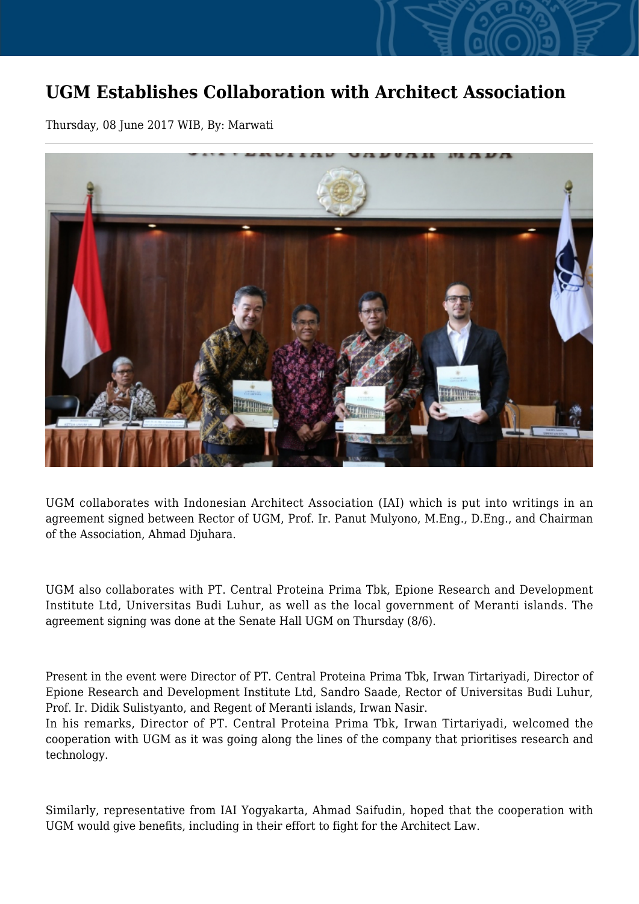## **UGM Establishes Collaboration with Architect Association**

Thursday, 08 June 2017 WIB, By: Marwati



UGM collaborates with Indonesian Architect Association (IAI) which is put into writings in an agreement signed between Rector of UGM, Prof. Ir. Panut Mulyono, M.Eng., D.Eng., and Chairman of the Association, Ahmad Djuhara.

UGM also collaborates with PT. Central Proteina Prima Tbk, Epione Research and Development Institute Ltd, Universitas Budi Luhur, as well as the local government of Meranti islands. The agreement signing was done at the Senate Hall UGM on Thursday (8/6).

Present in the event were Director of PT. Central Proteina Prima Tbk, Irwan Tirtariyadi, Director of Epione Research and Development Institute Ltd, Sandro Saade, Rector of Universitas Budi Luhur, Prof. Ir. Didik Sulistyanto, and Regent of Meranti islands, Irwan Nasir.

In his remarks, Director of PT. Central Proteina Prima Tbk, Irwan Tirtariyadi, welcomed the cooperation with UGM as it was going along the lines of the company that prioritises research and technology.

Similarly, representative from IAI Yogyakarta, Ahmad Saifudin, hoped that the cooperation with UGM would give benefits, including in their effort to fight for the Architect Law.